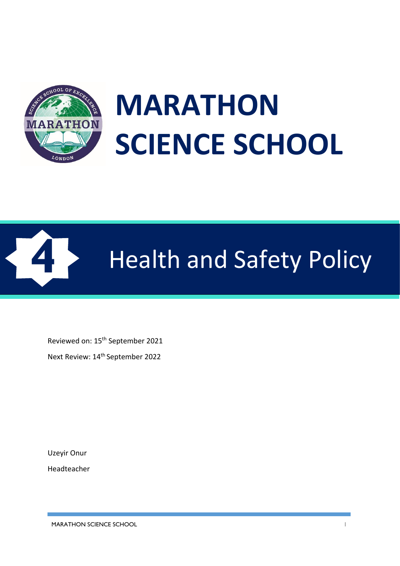

# **MARATHON SCIENCE SCHOOL**



# **4** Health and Safety Policy

Reviewed on: 15th September 2021

Next Review: 14th September 2022

Uzeyir Onur Headteacher

MARATHON SCIENCE SCHOOL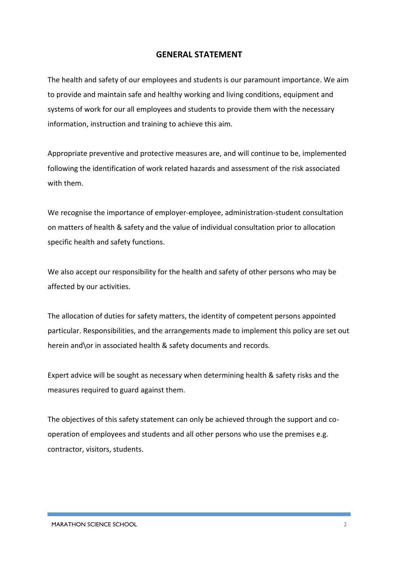#### **GENERAL STATEMENT**

The health and safety of our employees and students is our paramount importance. We aim to provide and maintain safe and healthy working and living conditions, equipment and systems of work for our all employees and students to provide them with the necessary information, instruction and training to achieve this aim.

Appropriate preventive and protective measures are, and will continue to be, implemented following the identification of work related hazards and assessment of the risk associated with them.

We recognise the importance of employer-employee, administration-student consultation on matters of health & safety and the value of individual consultation prior to allocation specific health and safety functions.

We also accept our responsibility for the health and safety of other persons who may be affected by our activities.

The allocation of duties for safety matters, the identity of competent persons appointed particular. Responsibilities, and the arrangements made to implement this policy are set out herein and\or in associated health & safety documents and records.

Expert advice will be sought as necessary when determining health & safety risks and the measures required to guard against them.

The objectives of this safety statement can only be achieved through the support and cooperation of employees and students and all other persons who use the premises e.g. contractor, visitors, students.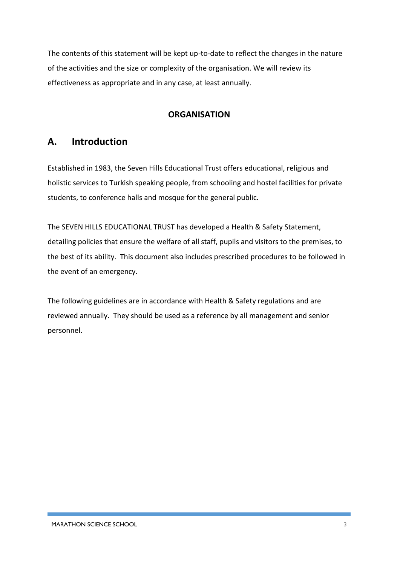The contents of this statement will be kept up-to-date to reflect the changes in the nature of the activities and the size or complexity of the organisation. We will review its effectiveness as appropriate and in any case, at least annually.

#### **ORGANISATION**

# **A. Introduction**

Established in 1983, the Seven Hills Educational Trust offers educational, religious and holistic services to Turkish speaking people, from schooling and hostel facilities for private students, to conference halls and mosque for the general public.

The SEVEN HILLS EDUCATIONAL TRUST has developed a Health & Safety Statement, detailing policies that ensure the welfare of all staff, pupils and visitors to the premises, to the best of its ability. This document also includes prescribed procedures to be followed in the event of an emergency.

The following guidelines are in accordance with Health & Safety regulations and are reviewed annually. They should be used as a reference by all management and senior personnel.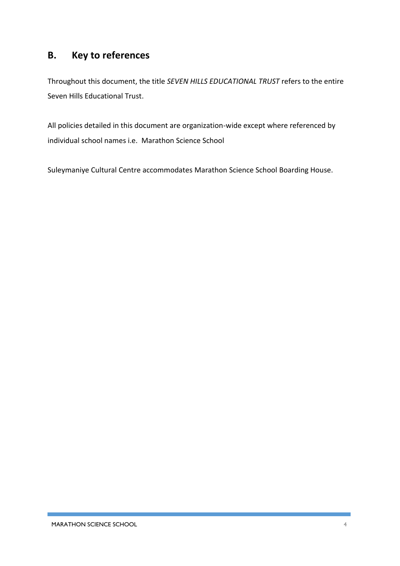# **B. Key to references**

Throughout this document, the title *SEVEN HILLS EDUCATIONAL TRUST* refers to the entire Seven Hills Educational Trust.

All policies detailed in this document are organization-wide except where referenced by individual school names i.e. Marathon Science School

Suleymaniye Cultural Centre accommodates Marathon Science School Boarding House.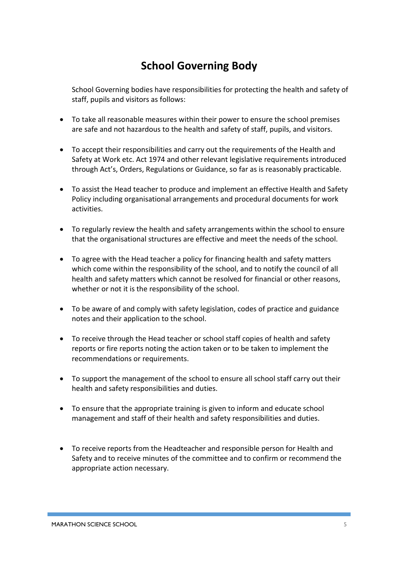# **School Governing Body**

School Governing bodies have responsibilities for protecting the health and safety of staff, pupils and visitors as follows:

- To take all reasonable measures within their power to ensure the school premises are safe and not hazardous to the health and safety of staff, pupils, and visitors.
- To accept their responsibilities and carry out the requirements of the Health and Safety at Work etc. Act 1974 and other relevant legislative requirements introduced through Act's, Orders, Regulations or Guidance, so far as is reasonably practicable.
- To assist the Head teacher to produce and implement an effective Health and Safety Policy including organisational arrangements and procedural documents for work activities.
- To regularly review the health and safety arrangements within the school to ensure that the organisational structures are effective and meet the needs of the school.
- To agree with the Head teacher a policy for financing health and safety matters which come within the responsibility of the school, and to notify the council of all health and safety matters which cannot be resolved for financial or other reasons, whether or not it is the responsibility of the school.
- To be aware of and comply with safety legislation, codes of practice and guidance notes and their application to the school.
- To receive through the Head teacher or school staff copies of health and safety reports or fire reports noting the action taken or to be taken to implement the recommendations or requirements.
- To support the management of the school to ensure all school staff carry out their health and safety responsibilities and duties.
- To ensure that the appropriate training is given to inform and educate school management and staff of their health and safety responsibilities and duties.
- To receive reports from the Headteacher and responsible person for Health and Safety and to receive minutes of the committee and to confirm or recommend the appropriate action necessary.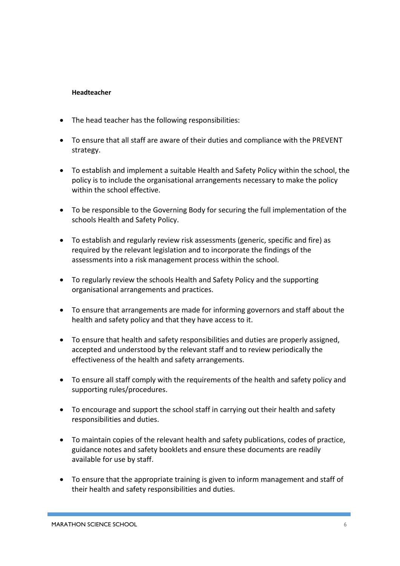#### **Headteacher**

- The head teacher has the following responsibilities:
- To ensure that all staff are aware of their duties and compliance with the PREVENT strategy.
- To establish and implement a suitable Health and Safety Policy within the school, the policy is to include the organisational arrangements necessary to make the policy within the school effective.
- To be responsible to the Governing Body for securing the full implementation of the schools Health and Safety Policy.
- To establish and regularly review risk assessments (generic, specific and fire) as required by the relevant legislation and to incorporate the findings of the assessments into a risk management process within the school.
- To regularly review the schools Health and Safety Policy and the supporting organisational arrangements and practices.
- To ensure that arrangements are made for informing governors and staff about the health and safety policy and that they have access to it.
- To ensure that health and safety responsibilities and duties are properly assigned, accepted and understood by the relevant staff and to review periodically the effectiveness of the health and safety arrangements.
- To ensure all staff comply with the requirements of the health and safety policy and supporting rules/procedures.
- To encourage and support the school staff in carrying out their health and safety responsibilities and duties.
- To maintain copies of the relevant health and safety publications, codes of practice, guidance notes and safety booklets and ensure these documents are readily available for use by staff.
- To ensure that the appropriate training is given to inform management and staff of their health and safety responsibilities and duties.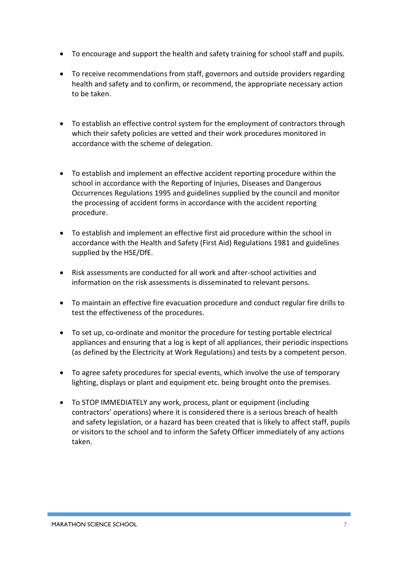- To encourage and support the health and safety training for school staff and pupils.
- To receive recommendations from staff, governors and outside providers regarding health and safety and to confirm, or recommend, the appropriate necessary action to be taken.
- To establish an effective control system for the employment of contractors through which their safety policies are vetted and their work procedures monitored in accordance with the scheme of delegation.
- To establish and implement an effective accident reporting procedure within the school in accordance with the Reporting of Injuries, Diseases and Dangerous Occurrences Regulations 1995 and guidelines supplied by the council and monitor the processing of accident forms in accordance with the accident reporting procedure.
- To establish and implement an effective first aid procedure within the school in accordance with the Health and Safety (First Aid) Regulations 1981 and guidelines supplied by the HSE/DfE.
- Risk assessments are conducted for all work and after-school activities and information on the risk assessments is disseminated to relevant persons.
- To maintain an effective fire evacuation procedure and conduct regular fire drills to test the effectiveness of the procedures.
- To set up, co-ordinate and monitor the procedure for testing portable electrical appliances and ensuring that a log is kept of all appliances, their periodic inspections (as defined by the Electricity at Work Regulations) and tests by a competent person.
- To agree safety procedures for special events, which involve the use of temporary lighting, displays or plant and equipment etc. being brought onto the premises.
- To STOP IMMEDIATELY any work, process, plant or equipment (including contractors' operations) where it is considered there is a serious breach of health and safety legislation, or a hazard has been created that is likely to affect staff, pupils or visitors to the school and to inform the Safety Officer immediately of any actions taken.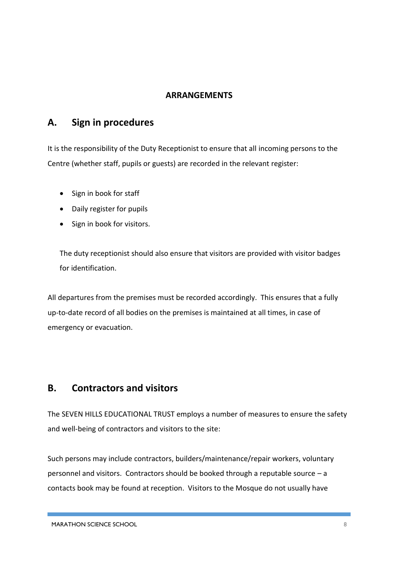#### **ARRANGEMENTS**

## **A. Sign in procedures**

It is the responsibility of the Duty Receptionist to ensure that all incoming persons to the Centre (whether staff, pupils or guests) are recorded in the relevant register:

- Sign in book for staff
- Daily register for pupils
- Sign in book for visitors.

The duty receptionist should also ensure that visitors are provided with visitor badges for identification.

All departures from the premises must be recorded accordingly. This ensures that a fully up-to-date record of all bodies on the premises is maintained at all times, in case of emergency or evacuation.

#### **B. Contractors and visitors**

The SEVEN HILLS EDUCATIONAL TRUST employs a number of measures to ensure the safety and well-being of contractors and visitors to the site:

Such persons may include contractors, builders/maintenance/repair workers, voluntary personnel and visitors. Contractors should be booked through a reputable source  $-a$ contacts book may be found at reception. Visitors to the Mosque do not usually have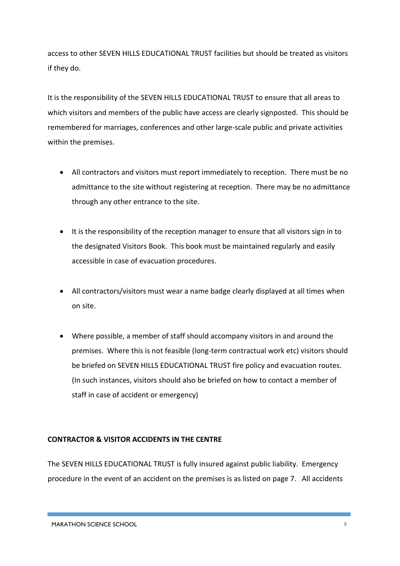access to other SEVEN HILLS EDUCATIONAL TRUST facilities but should be treated as visitors if they do.

It is the responsibility of the SEVEN HILLS EDUCATIONAL TRUST to ensure that all areas to which visitors and members of the public have access are clearly signposted. This should be remembered for marriages, conferences and other large-scale public and private activities within the premises.

- All contractors and visitors must report immediately to reception. There must be no admittance to the site without registering at reception. There may be no admittance through any other entrance to the site.
- It is the responsibility of the reception manager to ensure that all visitors sign in to the designated Visitors Book. This book must be maintained regularly and easily accessible in case of evacuation procedures.
- All contractors/visitors must wear a name badge clearly displayed at all times when on site.
- Where possible, a member of staff should accompany visitors in and around the premises. Where this is not feasible (long-term contractual work etc) visitors should be briefed on SEVEN HILLS EDUCATIONAL TRUST fire policy and evacuation routes. (In such instances, visitors should also be briefed on how to contact a member of staff in case of accident or emergency)

#### **CONTRACTOR & VISITOR ACCIDENTS IN THE CENTRE**

The SEVEN HILLS EDUCATIONAL TRUST is fully insured against public liability. Emergency procedure in the event of an accident on the premises is as listed on page 7. All accidents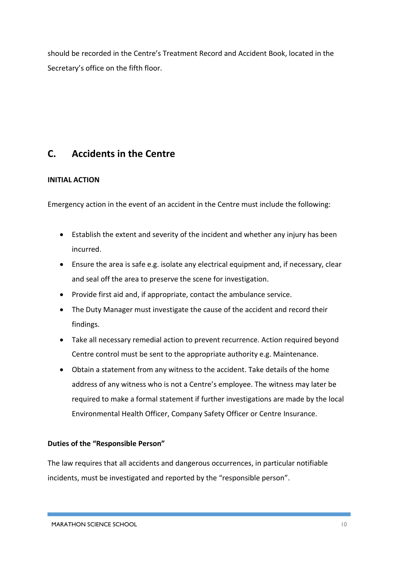should be recorded in the Centre's Treatment Record and Accident Book, located in the Secretary's office on the fifth floor.

# **C. Accidents in the Centre**

#### **INITIAL ACTION**

Emergency action in the event of an accident in the Centre must include the following:

- Establish the extent and severity of the incident and whether any injury has been incurred.
- Ensure the area is safe e.g. isolate any electrical equipment and, if necessary, clear and seal off the area to preserve the scene for investigation.
- Provide first aid and, if appropriate, contact the ambulance service.
- The Duty Manager must investigate the cause of the accident and record their findings.
- Take all necessary remedial action to prevent recurrence. Action required beyond Centre control must be sent to the appropriate authority e.g. Maintenance.
- Obtain a statement from any witness to the accident. Take details of the home address of any witness who is not a Centre's employee. The witness may later be required to make a formal statement if further investigations are made by the local Environmental Health Officer, Company Safety Officer or Centre Insurance.

#### **Duties of the "Responsible Person"**

The law requires that all accidents and dangerous occurrences, in particular notifiable incidents, must be investigated and reported by the "responsible person".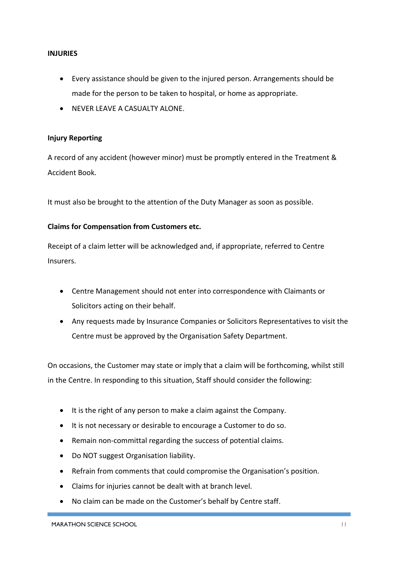#### **INJURIES**

- Every assistance should be given to the injured person. Arrangements should be made for the person to be taken to hospital, or home as appropriate.
- NEVER LEAVE A CASUALTY ALONE.

#### **Injury Reporting**

A record of any accident (however minor) must be promptly entered in the Treatment & Accident Book.

It must also be brought to the attention of the Duty Manager as soon as possible.

#### **Claims for Compensation from Customers etc.**

Receipt of a claim letter will be acknowledged and, if appropriate, referred to Centre Insurers.

- Centre Management should not enter into correspondence with Claimants or Solicitors acting on their behalf.
- Any requests made by Insurance Companies or Solicitors Representatives to visit the Centre must be approved by the Organisation Safety Department.

On occasions, the Customer may state or imply that a claim will be forthcoming, whilst still in the Centre. In responding to this situation, Staff should consider the following:

- It is the right of any person to make a claim against the Company.
- It is not necessary or desirable to encourage a Customer to do so.
- Remain non-committal regarding the success of potential claims.
- Do NOT suggest Organisation liability.
- Refrain from comments that could compromise the Organisation's position.
- Claims for injuries cannot be dealt with at branch level.
- No claim can be made on the Customer's behalf by Centre staff.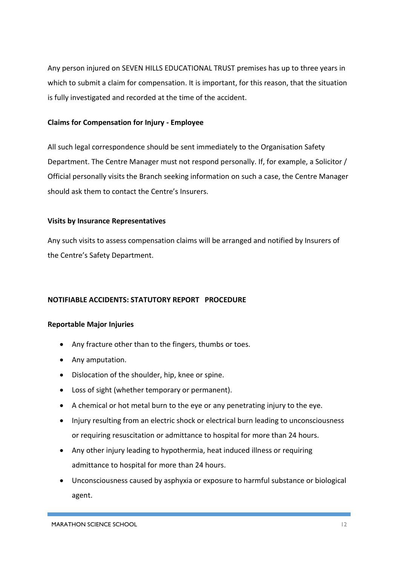Any person injured on SEVEN HILLS EDUCATIONAL TRUST premises has up to three years in which to submit a claim for compensation. It is important, for this reason, that the situation is fully investigated and recorded at the time of the accident.

#### **Claims for Compensation for Injury - Employee**

All such legal correspondence should be sent immediately to the Organisation Safety Department. The Centre Manager must not respond personally. If, for example, a Solicitor / Official personally visits the Branch seeking information on such a case, the Centre Manager should ask them to contact the Centre's Insurers.

#### **Visits by Insurance Representatives**

Any such visits to assess compensation claims will be arranged and notified by Insurers of the Centre's Safety Department.

#### **NOTIFIABLE ACCIDENTS: STATUTORY REPORT PROCEDURE**

#### **Reportable Major Injuries**

- Any fracture other than to the fingers, thumbs or toes.
- Any amputation.
- Dislocation of the shoulder, hip, knee or spine.
- Loss of sight (whether temporary or permanent).
- A chemical or hot metal burn to the eye or any penetrating injury to the eye.
- Injury resulting from an electric shock or electrical burn leading to unconsciousness or requiring resuscitation or admittance to hospital for more than 24 hours.
- Any other injury leading to hypothermia, heat induced illness or requiring admittance to hospital for more than 24 hours.
- Unconsciousness caused by asphyxia or exposure to harmful substance or biological agent.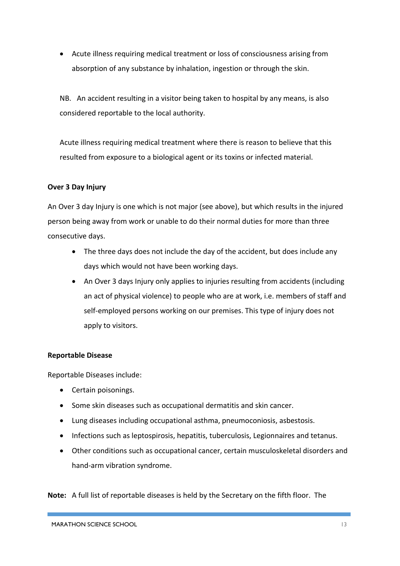• Acute illness requiring medical treatment or loss of consciousness arising from absorption of any substance by inhalation, ingestion or through the skin.

NB. An accident resulting in a visitor being taken to hospital by any means, is also considered reportable to the local authority.

Acute illness requiring medical treatment where there is reason to believe that this resulted from exposure to a biological agent or its toxins or infected material.

#### **Over 3 Day Injury**

An Over 3 day Injury is one which is not major (see above), but which results in the injured person being away from work or unable to do their normal duties for more than three consecutive days.

- The three days does not include the day of the accident, but does include any days which would not have been working days.
- An Over 3 days Injury only applies to injuries resulting from accidents (including an act of physical violence) to people who are at work, i.e. members of staff and self-employed persons working on our premises. This type of injury does not apply to visitors.

#### **Reportable Disease**

Reportable Diseases include:

- Certain poisonings.
- Some skin diseases such as occupational dermatitis and skin cancer.
- Lung diseases including occupational asthma, pneumoconiosis, asbestosis.
- Infections such as leptospirosis, hepatitis, tuberculosis, Legionnaires and tetanus.
- Other conditions such as occupational cancer, certain musculoskeletal disorders and hand-arm vibration syndrome.

**Note:** A full list of reportable diseases is held by the Secretary on the fifth floor. The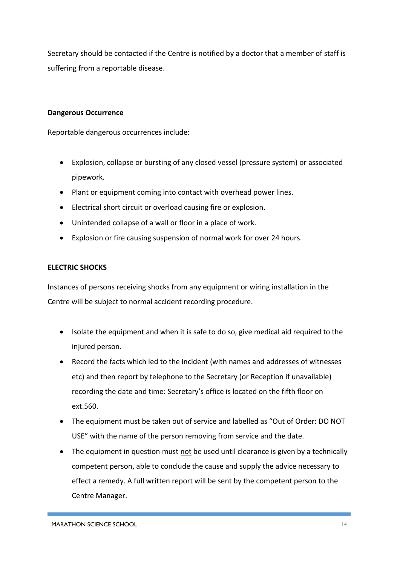Secretary should be contacted if the Centre is notified by a doctor that a member of staff is suffering from a reportable disease.

#### **Dangerous Occurrence**

Reportable dangerous occurrences include:

- Explosion, collapse or bursting of any closed vessel (pressure system) or associated pipework.
- Plant or equipment coming into contact with overhead power lines.
- Electrical short circuit or overload causing fire or explosion.
- Unintended collapse of a wall or floor in a place of work.
- Explosion or fire causing suspension of normal work for over 24 hours.

#### **ELECTRIC SHOCKS**

Instances of persons receiving shocks from any equipment or wiring installation in the Centre will be subject to normal accident recording procedure.

- Isolate the equipment and when it is safe to do so, give medical aid required to the injured person.
- Record the facts which led to the incident (with names and addresses of witnesses etc) and then report by telephone to the Secretary (or Reception if unavailable) recording the date and time: Secretary's office is located on the fifth floor on ext.560.
- The equipment must be taken out of service and labelled as "Out of Order: DO NOT USE" with the name of the person removing from service and the date.
- The equipment in question must not be used until clearance is given by a technically competent person, able to conclude the cause and supply the advice necessary to effect a remedy. A full written report will be sent by the competent person to the Centre Manager.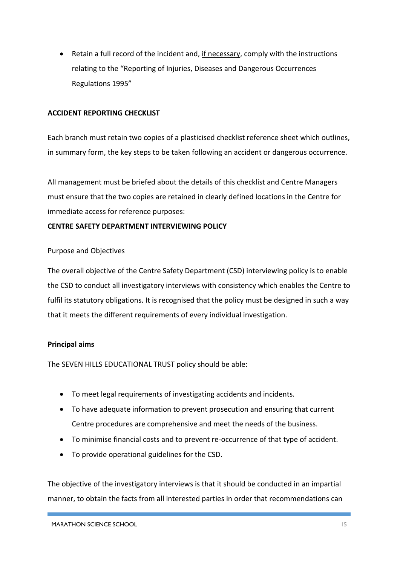• Retain a full record of the incident and, if necessary, comply with the instructions relating to the "Reporting of Injuries, Diseases and Dangerous Occurrences Regulations 1995"

#### **ACCIDENT REPORTING CHECKLIST**

Each branch must retain two copies of a plasticised checklist reference sheet which outlines, in summary form, the key steps to be taken following an accident or dangerous occurrence.

AlI management must be briefed about the details of this checklist and Centre Managers must ensure that the two copies are retained in clearly defined locations in the Centre for immediate access for reference purposes:

#### **CENTRE SAFETY DEPARTMENT INTERVIEWING POLICY**

#### Purpose and Objectives

The overall objective of the Centre Safety Department (CSD) interviewing policy is to enable the CSD to conduct all investigatory interviews with consistency which enables the Centre to fulfil its statutory obligations. It is recognised that the policy must be designed in such a way that it meets the different requirements of every individual investigation.

#### **Principal aims**

The SEVEN HILLS EDUCATIONAL TRUST policy should be able:

- To meet legal requirements of investigating accidents and incidents.
- To have adequate information to prevent prosecution and ensuring that current Centre procedures are comprehensive and meet the needs of the business.
- To minimise financial costs and to prevent re-occurrence of that type of accident.
- To provide operational guidelines for the CSD.

The objective of the investigatory interviews is that it should be conducted in an impartial manner, to obtain the facts from all interested parties in order that recommendations can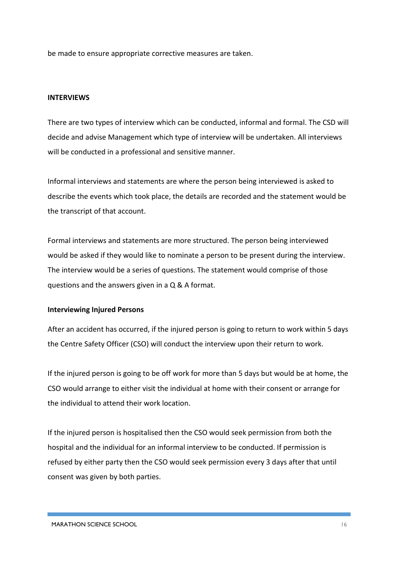be made to ensure appropriate corrective measures are taken.

#### **INTERVIEWS**

There are two types of interview which can be conducted, informal and formal. The CSD will decide and advise Management which type of interview will be undertaken. All interviews will be conducted in a professional and sensitive manner.

Informal interviews and statements are where the person being interviewed is asked to describe the events which took place, the details are recorded and the statement would be the transcript of that account.

Formal interviews and statements are more structured. The person being interviewed would be asked if they would like to nominate a person to be present during the interview. The interview would be a series of questions. The statement would comprise of those questions and the answers given in a Q & A format.

#### **Interviewing Injured Persons**

After an accident has occurred, if the injured person is going to return to work within 5 days the Centre Safety Officer (CSO) will conduct the interview upon their return to work.

If the injured person is going to be off work for more than 5 days but would be at home, the CSO would arrange to either visit the individual at home with their consent or arrange for the individual to attend their work location.

If the injured person is hospitalised then the CSO would seek permission from both the hospital and the individual for an informal interview to be conducted. If permission is refused by either party then the CSO would seek permission every 3 days after that until consent was given by both parties.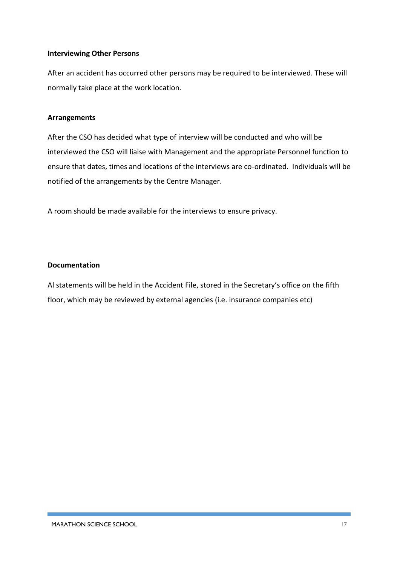#### **Interviewing Other Persons**

After an accident has occurred other persons may be required to be interviewed. These will normally take place at the work location.

#### **Arrangements**

After the CSO has decided what type of interview will be conducted and who will be interviewed the CSO will liaise with Management and the appropriate Personnel function to ensure that dates, times and locations of the interviews are co-ordinated. Individuals will be notified of the arrangements by the Centre Manager.

A room should be made available for the interviews to ensure privacy.

#### **Documentation**

Al statements will be held in the Accident File, stored in the Secretary's office on the fifth floor, which may be reviewed by external agencies (i.e. insurance companies etc)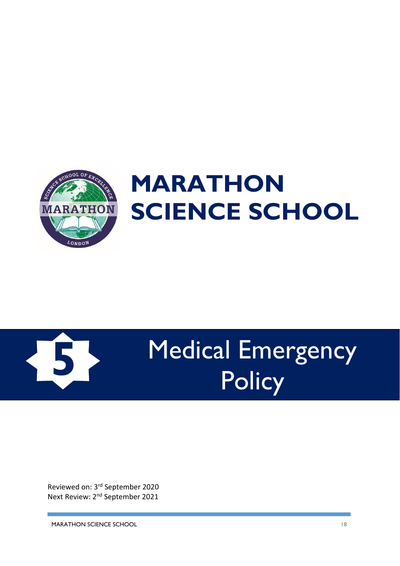



# Medical Emergency Policy **5**

Reviewed on: 3rd September 2020 Next Review: 2<sup>nd</sup> September 2021

MARATHON SCIENCE SCHOOL 18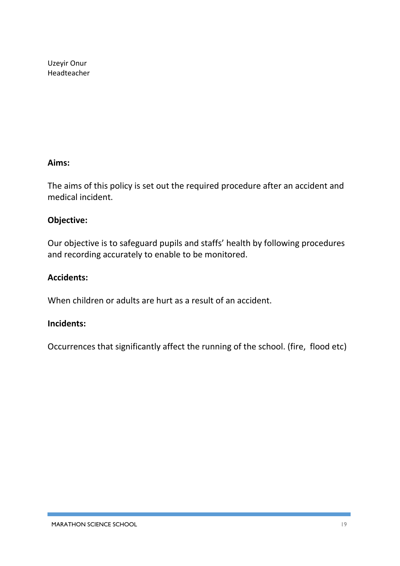Uzeyir Onur Headteacher

#### **Aims:**

The aims of this policy is set out the required procedure after an accident and medical incident.

#### **Objective:**

Our objective is to safeguard pupils and staffs' health by following procedures and recording accurately to enable to be monitored.

#### **Accidents:**

When children or adults are hurt as a result of an accident.

#### **Incidents:**

Occurrences that significantly affect the running of the school. (fire, flood etc)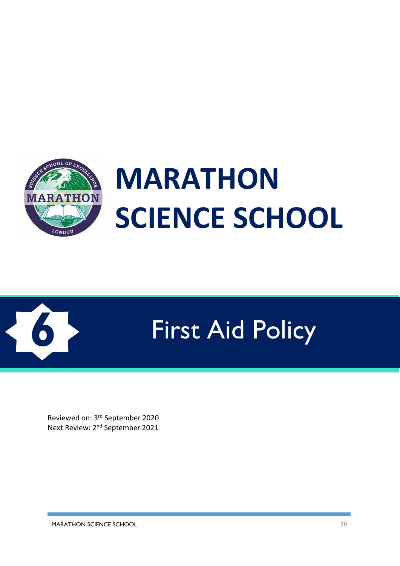



# **6** First Aid Policy

Reviewed on: 3rd September 2020 Next Review: 2nd September 2021

MARATHON SCIENCE SCHOOL 20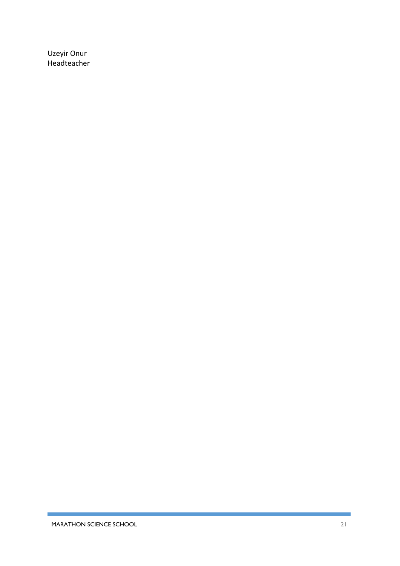Uzeyir Onur Headteacher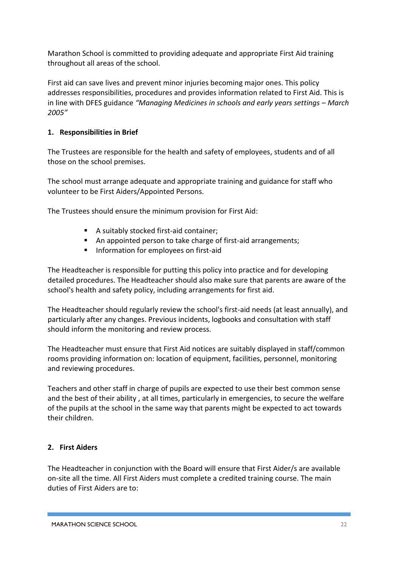Marathon School is committed to providing adequate and appropriate First Aid training throughout all areas of the school.

First aid can save lives and prevent minor injuries becoming major ones. This policy addresses responsibilities, procedures and provides information related to First Aid. This is in line with DFES guidance *"Managing Medicines in schools and early years settings – March 2005"*

#### **1. Responsibilities in Brief**

The Trustees are responsible for the health and safety of employees, students and of all those on the school premises.

The school must arrange adequate and appropriate training and guidance for staff who volunteer to be First Aiders/Appointed Persons.

The Trustees should ensure the minimum provision for First Aid:

- A suitably stocked first-aid container;
- An appointed person to take charge of first-aid arrangements:
- Information for employees on first-aid

The Headteacher is responsible for putting this policy into practice and for developing detailed procedures. The Headteacher should also make sure that parents are aware of the school's health and safety policy, including arrangements for first aid.

The Headteacher should regularly review the school's first-aid needs (at least annually), and particularly after any changes. Previous incidents, logbooks and consultation with staff should inform the monitoring and review process.

The Headteacher must ensure that First Aid notices are suitably displayed in staff/common rooms providing information on: location of equipment, facilities, personnel, monitoring and reviewing procedures.

Teachers and other staff in charge of pupils are expected to use their best common sense and the best of their ability , at all times, particularly in emergencies, to secure the welfare of the pupils at the school in the same way that parents might be expected to act towards their children.

#### **2. First Aiders**

The Headteacher in conjunction with the Board will ensure that First Aider/s are available on-site all the time. All First Aiders must complete a credited training course. The main duties of First Aiders are to: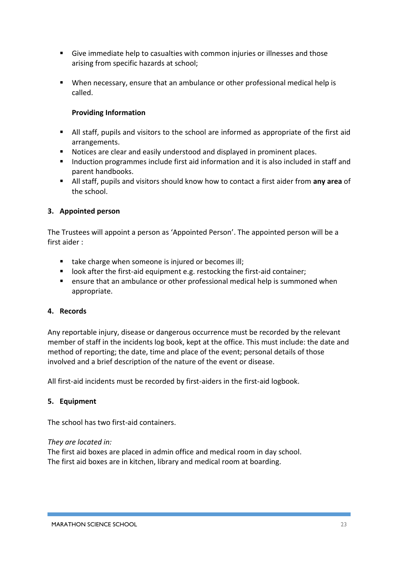- Give immediate help to casualties with common injuries or illnesses and those arising from specific hazards at school;
- When necessary, ensure that an ambulance or other professional medical help is called.

#### **Providing Information**

- All staff, pupils and visitors to the school are informed as appropriate of the first aid arrangements.
- Notices are clear and easily understood and displayed in prominent places.
- Induction programmes include first aid information and it is also included in staff and parent handbooks.
- All staff, pupils and visitors should know how to contact a first aider from **any area** of the school.

#### **3. Appointed person**

The Trustees will appoint a person as 'Appointed Person'. The appointed person will be a first aider :

- take charge when someone is injured or becomes ill;
- look after the first-aid equipment e.g. restocking the first-aid container;
- ensure that an ambulance or other professional medical help is summoned when appropriate.

#### **4. Records**

Any reportable injury, disease or dangerous occurrence must be recorded by the relevant member of staff in the incidents log book, kept at the office. This must include: the date and method of reporting; the date, time and place of the event; personal details of those involved and a brief description of the nature of the event or disease.

All first-aid incidents must be recorded by first-aiders in the first-aid logbook.

#### **5. Equipment**

The school has two first-aid containers.

#### *They are located in:*

The first aid boxes are placed in admin office and medical room in day school. The first aid boxes are in kitchen, library and medical room at boarding.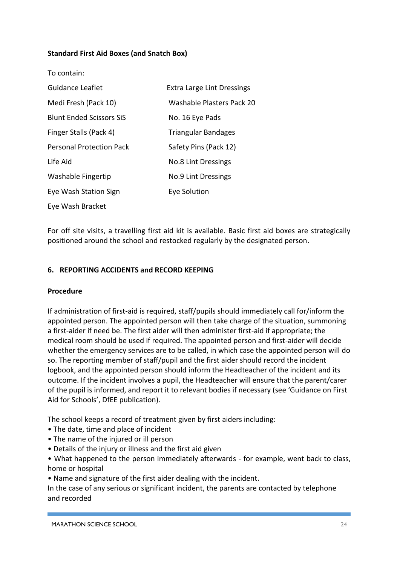#### **Standard First Aid Boxes (and Snatch Box)**

| To contain:                     |                                   |
|---------------------------------|-----------------------------------|
| Guidance Leaflet                | <b>Extra Large Lint Dressings</b> |
| Medi Fresh (Pack 10)            | Washable Plasters Pack 20         |
| <b>Blunt Ended Scissors SiS</b> | No. 16 Eye Pads                   |
| Finger Stalls (Pack 4)          | <b>Triangular Bandages</b>        |
| <b>Personal Protection Pack</b> | Safety Pins (Pack 12)             |
| Life Aid                        | No.8 Lint Dressings               |
| Washable Fingertip              | No.9 Lint Dressings               |
| Eye Wash Station Sign           | <b>Eye Solution</b>               |
| Eye Wash Bracket                |                                   |

For off site visits, a travelling first aid kit is available. Basic first aid boxes are strategically positioned around the school and restocked regularly by the designated person.

#### **6. REPORTING ACCIDENTS and RECORD KEEPING**

#### **Procedure**

If administration of first-aid is required, staff/pupils should immediately call for/inform the appointed person. The appointed person will then take charge of the situation, summoning a first-aider if need be. The first aider will then administer first-aid if appropriate; the medical room should be used if required. The appointed person and first-aider will decide whether the emergency services are to be called, in which case the appointed person will do so. The reporting member of staff/pupil and the first aider should record the incident logbook, and the appointed person should inform the Headteacher of the incident and its outcome. If the incident involves a pupil, the Headteacher will ensure that the parent/carer of the pupil is informed, and report it to relevant bodies if necessary (see 'Guidance on First Aid for Schools', DfEE publication).

The school keeps a record of treatment given by first aiders including:

- The date, time and place of incident
- The name of the injured or ill person
- Details of the injury or illness and the first aid given

• What happened to the person immediately afterwards - for example, went back to class, home or hospital

• Name and signature of the first aider dealing with the incident.

In the case of any serious or significant incident, the parents are contacted by telephone and recorded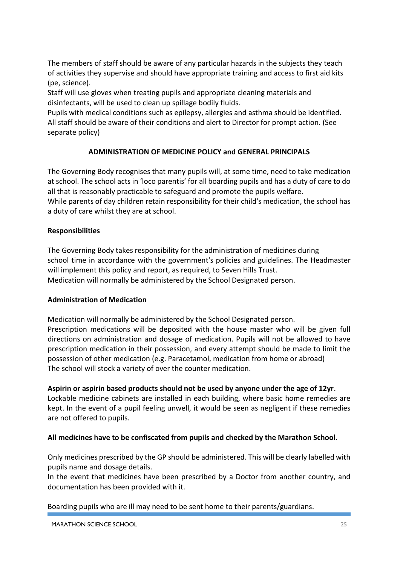The members of staff should be aware of any particular hazards in the subjects they teach of activities they supervise and should have appropriate training and access to first aid kits (pe, science).

Staff will use gloves when treating pupils and appropriate cleaning materials and disinfectants, will be used to clean up spillage bodily fluids.

Pupils with medical conditions such as epilepsy, allergies and asthma should be identified. All staff should be aware of their conditions and alert to Director for prompt action. (See separate policy)

#### **ADMINISTRATION OF MEDICINE POLICY and GENERAL PRINCIPALS**

The Governing Body recognises that many pupils will, at some time, need to take medication at school. The school acts in 'loco parentis' for all boarding pupils and has a duty of care to do all that is reasonably practicable to safeguard and promote the pupils welfare. While parents of day children retain responsibility for their child's medication, the school has a duty of care whilst they are at school.

#### **Responsibilities**

The Governing Body takes responsibility for the administration of medicines during school time in accordance with the government's policies and guidelines. The Headmaster will implement this policy and report, as required, to Seven Hills Trust. Medication will normally be administered by the School Designated person.

#### **Administration of Medication**

Medication will normally be administered by the School Designated person. Prescription medications will be deposited with the house master who will be given full directions on administration and dosage of medication. Pupils will not be allowed to have prescription medication in their possession, and every attempt should be made to limit the possession of other medication (e.g. Paracetamol, medication from home or abroad) The school will stock a variety of over the counter medication.

#### **Aspirin or aspirin based products should not be used by anyone under the age of 12yr**.

Lockable medicine cabinets are installed in each building, where basic home remedies are kept. In the event of a pupil feeling unwell, it would be seen as negligent if these remedies are not offered to pupils.

#### **All medicines have to be confiscated from pupils and checked by the Marathon School.**

Only medicines prescribed by the GP should be administered. This will be clearly labelled with pupils name and dosage details.

In the event that medicines have been prescribed by a Doctor from another country, and documentation has been provided with it.

Boarding pupils who are ill may need to be sent home to their parents/guardians.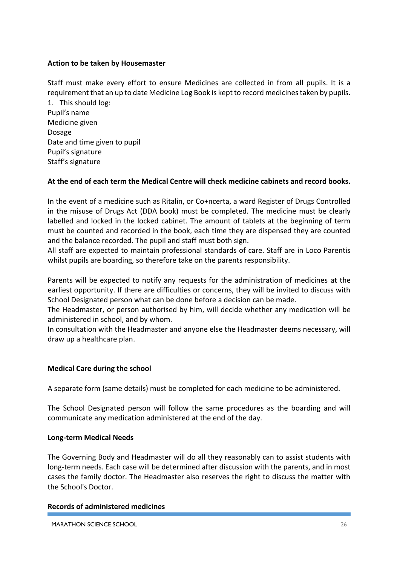#### **Action to be taken by Housemaster**

Staff must make every effort to ensure Medicines are collected in from all pupils. It is a requirement that an up to date Medicine Log Book is kept to record medicines taken by pupils.

1. This should log: Pupil's name Medicine given Dosage Date and time given to pupil Pupil's signature Staff's signature

#### **At the end of each term the Medical Centre will check medicine cabinets and record books.**

In the event of a medicine such as Ritalin, or Co+ncerta, a ward Register of Drugs Controlled in the misuse of Drugs Act (DDA book) must be completed. The medicine must be clearly labelled and locked in the locked cabinet. The amount of tablets at the beginning of term must be counted and recorded in the book, each time they are dispensed they are counted and the balance recorded. The pupil and staff must both sign.

All staff are expected to maintain professional standards of care. Staff are in Loco Parentis whilst pupils are boarding, so therefore take on the parents responsibility.

Parents will be expected to notify any requests for the administration of medicines at the earliest opportunity. If there are difficulties or concerns, they will be invited to discuss with School Designated person what can be done before a decision can be made.

The Headmaster, or person authorised by him, will decide whether any medication will be administered in school, and by whom.

In consultation with the Headmaster and anyone else the Headmaster deems necessary, will draw up a healthcare plan.

#### **Medical Care during the school**

A separate form (same details) must be completed for each medicine to be administered.

The School Designated person will follow the same procedures as the boarding and will communicate any medication administered at the end of the day.

#### **Long-term Medical Needs**

The Governing Body and Headmaster will do all they reasonably can to assist students with long-term needs. Each case will be determined after discussion with the parents, and in most cases the family doctor. The Headmaster also reserves the right to discuss the matter with the School's Doctor.

#### **Records of administered medicines**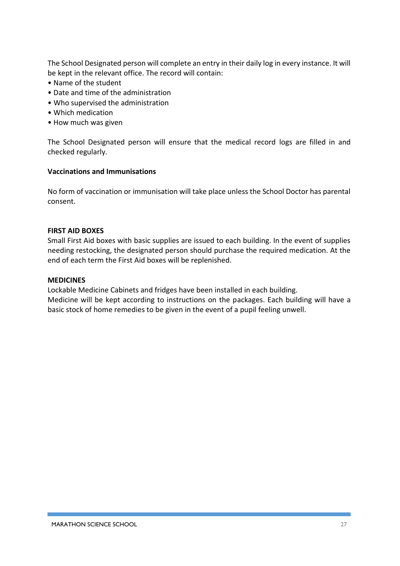The School Designated person will complete an entry in their daily log in every instance. It will be kept in the relevant office. The record will contain:

- Name of the student
- Date and time of the administration
- Who supervised the administration
- Which medication
- How much was given

The School Designated person will ensure that the medical record logs are filled in and checked regularly.

#### **Vaccinations and Immunisations**

No form of vaccination or immunisation will take place unless the School Doctor has parental consent.

#### **FIRST AID BOXES**

Small First Aid boxes with basic supplies are issued to each building. In the event of supplies needing restocking, the designated person should purchase the required medication. At the end of each term the First Aid boxes will be replenished.

#### **MEDICINES**

Lockable Medicine Cabinets and fridges have been installed in each building. Medicine will be kept according to instructions on the packages. Each building will have a basic stock of home remedies to be given in the event of a pupil feeling unwell.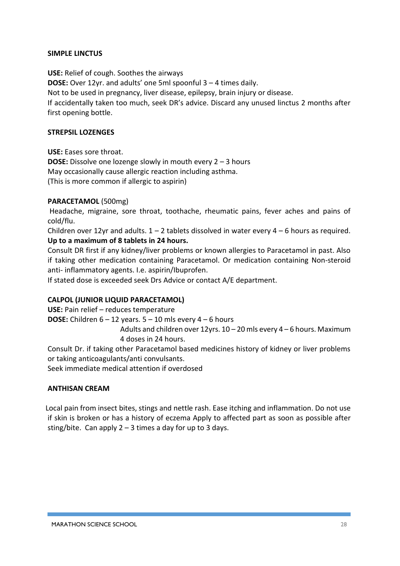#### **SIMPLE LINCTUS**

**USE:** Relief of cough. Soothes the airways **DOSE:** Over 12yr. and adults' one 5ml spoonful 3 – 4 times daily. Not to be used in pregnancy, liver disease, epilepsy, brain injury or disease. If accidentally taken too much, seek DR's advice. Discard any unused linctus 2 months after first opening bottle.

#### **STREPSIL LOZENGES**

**USE:** Eases sore throat. **DOSE:** Dissolve one lozenge slowly in mouth every 2 – 3 hours May occasionally cause allergic reaction including asthma. (This is more common if allergic to aspirin)

#### **PARACETAMOL** (500mg)

Headache, migraine, sore throat, toothache, rheumatic pains, fever aches and pains of cold/flu.

Children over 12yr and adults.  $1 - 2$  tablets dissolved in water every  $4 - 6$  hours as required. **Up to a maximum of 8 tablets in 24 hours.** 

Consult DR first if any kidney/liver problems or known allergies to Paracetamol in past. Also if taking other medication containing Paracetamol. Or medication containing Non-steroid anti- inflammatory agents. I.e. aspirin/Ibuprofen.

If stated dose is exceeded seek Drs Advice or contact A/E department.

#### **CALPOL (JUNIOR LIQUID PARACETAMOL)**

**USE:** Pain relief – reduces temperature

**DOSE:** Children  $6 - 12$  years.  $5 - 10$  mls every  $4 - 6$  hours

Adults and children over 12yrs. 10 – 20 mls every 4 – 6 hours. Maximum 4 doses in 24 hours.

Consult Dr. if taking other Paracetamol based medicines history of kidney or liver problems or taking anticoagulants/anti convulsants.

Seek immediate medical attention if overdosed

#### **ANTHISAN CREAM**

Local pain from insect bites, stings and nettle rash. Ease itching and inflammation. Do not use if skin is broken or has a history of eczema Apply to affected part as soon as possible after sting/bite. Can apply  $2 - 3$  times a day for up to 3 days.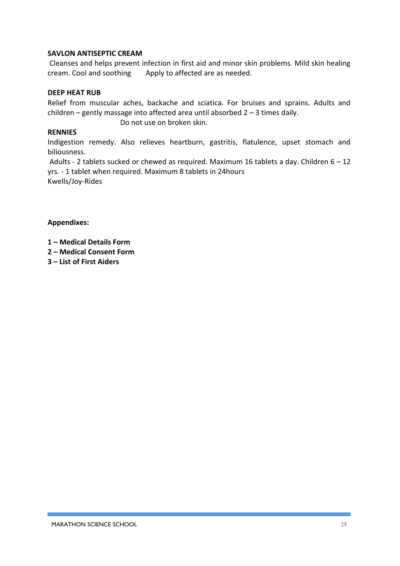#### **SAVLON ANTISEPTIC CREAM**

**US** Cleanses and helps prevent infection in first aid and minor skin problems. Mild skin healing cream. Cool and soothing Apply to affected are as needed.

#### **DEEP HEAT RUB**

Relief from muscular aches, backache and sciatica. For bruises and sprains. Adults and children – gently massage into affected area until absorbed 2 – 3 times daily.

Do not use on broken skin.

#### **RENNIES**

Indigestion remedy. Also relieves heartburn, gastritis, flatulence, upset stomach and biliousness.

**D** Adults - 2 tablets sucked or chewed as required. Maximum 16 tablets a day. Children 6 – 12 yrs. - 1 tablet when required. Maximum 8 tablets in 24hours Kwells/Joy-Rides

#### **Appendixes:**

**1 – Medical Details Form**

- **2 – Medical Consent Form**
- **3 – List of First Aiders**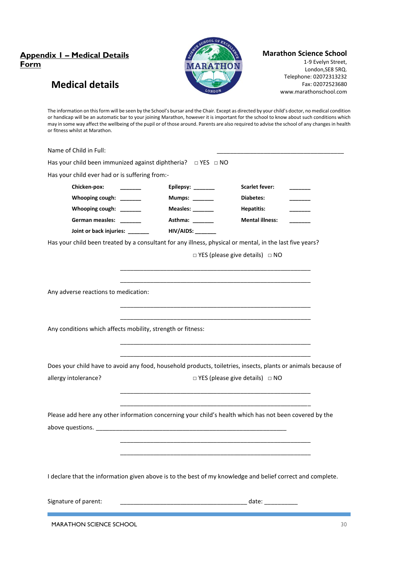#### **Appendix 1 – Medical Details Form**

**Medical details**



#### **Marathon Science School**

1-9 Evelyn Street, London,SE8 5RQ. Telephone: 02072313232 Fax: 02072523680 www.marathonschool.com

The information on this form will be seen by the School's bursar and the Chair. Except as directed by your child's doctor, no medical condition or handicap will be an automatic bar to your joining Marathon, however it is important for the school to know about such conditions which may in some way affect the wellbeing of the pupil or of those around. Parents are also required to advise the school of any changes in health or fitness whilst at Marathon.

| Name of Child in Full:                         |                                                              |                                                                                                                                                             |  |
|------------------------------------------------|--------------------------------------------------------------|-------------------------------------------------------------------------------------------------------------------------------------------------------------|--|
|                                                | Has your child been immunized against diphtheria? □ YES □ NO |                                                                                                                                                             |  |
| Has your child ever had or is suffering from:- |                                                              |                                                                                                                                                             |  |
| Chicken-pox:                                   | Epilepsy: ______                                             | <b>Scarlet fever:</b>                                                                                                                                       |  |
| Whooping cough: ______                         | Mumps: ______                                                | Diabetes:                                                                                                                                                   |  |
| Whooping cough: ______                         | Measles: ________                                            | <b>Hepatitis:</b>                                                                                                                                           |  |
| German measles: ______                         | Asthma: ______                                               | <b>Mental illness:</b>                                                                                                                                      |  |
| Joint or back injuries: ______                 | HIV/AIDS: ______                                             |                                                                                                                                                             |  |
|                                                |                                                              | Has your child been treated by a consultant for any illness, physical or mental, in the last five years?<br>$\Box$ YES (please give details) $\Box$ NO      |  |
| Any adverse reactions to medication:           |                                                              |                                                                                                                                                             |  |
|                                                | Any conditions which affects mobility, strength or fitness:  |                                                                                                                                                             |  |
| allergy intolerance?                           |                                                              | Does your child have to avoid any food, household products, toiletries, insects, plants or animals because of<br>$\Box$ YES (please give details) $\Box$ NO |  |
|                                                |                                                              |                                                                                                                                                             |  |
|                                                |                                                              | Please add here any other information concerning your child's health which has not been covered by the                                                      |  |
|                                                |                                                              | I declare that the information given above is to the best of my knowledge and belief correct and complete.                                                  |  |
| Signature of parent:                           |                                                              | date:                                                                                                                                                       |  |

MARATHON SCIENCE SCHOOL 30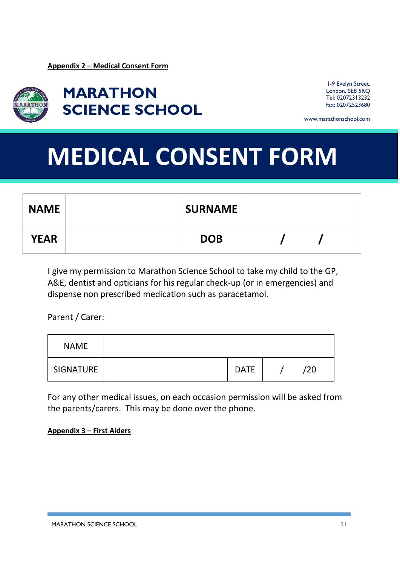

**MARATHON SCIENCE SCHOOL**

1-9 Evelyn Street, London, SE8 5RQ Tel: 02072313232 Fax: 02072523680

www.marathonschool.com

# **MEDICAL CONSENT FORM**

| <b>NAME</b> | <b>SURNAME</b> |  |  |
|-------------|----------------|--|--|
| <b>YEAR</b> | <b>DOB</b>     |  |  |

I give my permission to Marathon Science School to take my child to the GP, A&E, dentist and opticians for his regular check-up (or in emergencies) and dispense non prescribed medication such as paracetamol.

Parent / Carer:

| <b>NAME</b> |             |     |
|-------------|-------------|-----|
| SIGNATURE   | <b>DATE</b> | /20 |

For any other medical issues, on each occasion permission will be asked from the parents/carers. This may be done over the phone.

**Appendix 3 – First Aiders**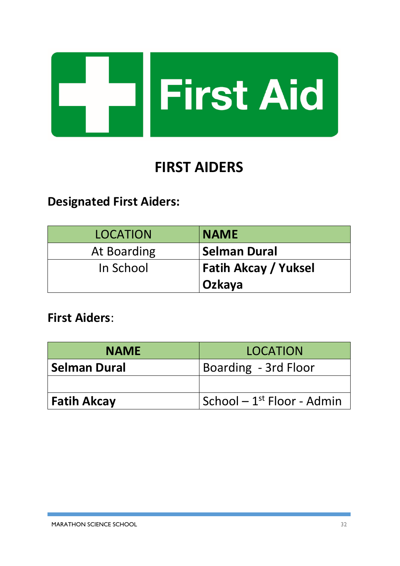

# **FIRST AIDERS**

# **Designated First Aiders:**

| <b>LOCATION</b>    | <b>NAME</b>                           |
|--------------------|---------------------------------------|
| <b>At Boarding</b> | <b>Selman Dural</b>                   |
| In School          | <b>Fatih Akcay / Yuksel</b><br>Ozkaya |

**First Aiders**:

| <b>NAME</b>         | LOCATION                               |  |
|---------------------|----------------------------------------|--|
| <b>Selman Dural</b> | Boarding - 3rd Floor                   |  |
|                     |                                        |  |
| <b>Fatih Akcay</b>  | School – 1 <sup>st</sup> Floor - Admin |  |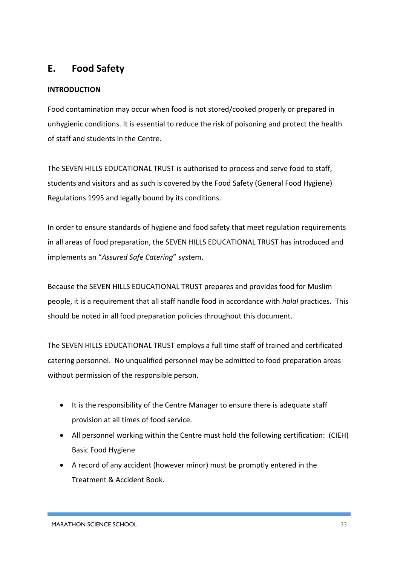# **E. Food Safety**

#### **INTRODUCTION**

Food contamination may occur when food is not stored/cooked properly or prepared in unhygienic conditions. It is essential to reduce the risk of poisoning and protect the health of staff and students in the Centre.

The SEVEN HILLS EDUCATIONAL TRUST is authorised to process and serve food to staff, students and visitors and as such is covered by the Food Safety (General Food Hygiene) Regulations 1995 and legally bound by its conditions.

In order to ensure standards of hygiene and food safety that meet regulation requirements in all areas of food preparation, the SEVEN HILLS EDUCATIONAL TRUST has introduced and implements an "*Assured Safe Catering*" system.

Because the SEVEN HILLS EDUCATIONAL TRUST prepares and provides food for Muslim people, it is a requirement that all staff handle food in accordance with *halal* practices. This should be noted in all food preparation policies throughout this document.

The SEVEN HILLS EDUCATIONAL TRUST employs a full time staff of trained and certificated catering personnel. No unqualified personnel may be admitted to food preparation areas without permission of the responsible person.

- It is the responsibility of the Centre Manager to ensure there is adequate staff provision at all times of food service.
- All personnel working within the Centre must hold the following certification: (CIEH) Basic Food Hygiene
- A record of any accident (however minor) must be promptly entered in the Treatment & Accident Book.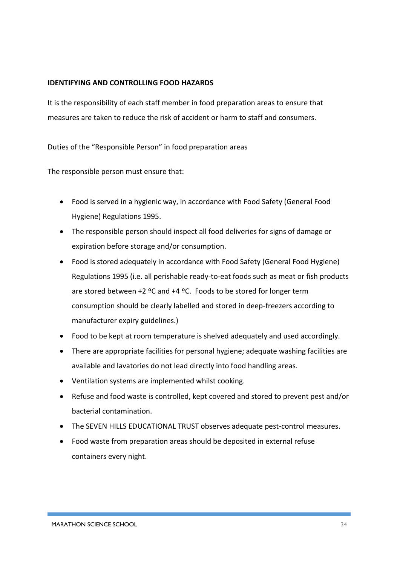#### **IDENTIFYING AND CONTROLLING FOOD HAZARDS**

It is the responsibility of each staff member in food preparation areas to ensure that measures are taken to reduce the risk of accident or harm to staff and consumers.

Duties of the "Responsible Person" in food preparation areas

The responsible person must ensure that:

- Food is served in a hygienic way, in accordance with Food Safety (General Food Hygiene) Regulations 1995.
- The responsible person should inspect all food deliveries for signs of damage or expiration before storage and/or consumption.
- Food is stored adequately in accordance with Food Safety (General Food Hygiene) Regulations 1995 (i.e. all perishable ready-to-eat foods such as meat or fish products are stored between +2 ºC and +4 ºC. Foods to be stored for longer term consumption should be clearly labelled and stored in deep-freezers according to manufacturer expiry guidelines.)
- Food to be kept at room temperature is shelved adequately and used accordingly.
- There are appropriate facilities for personal hygiene; adequate washing facilities are available and lavatories do not lead directly into food handling areas.
- Ventilation systems are implemented whilst cooking.
- Refuse and food waste is controlled, kept covered and stored to prevent pest and/or bacterial contamination.
- The SEVEN HILLS EDUCATIONAL TRUST observes adequate pest-control measures.
- Food waste from preparation areas should be deposited in external refuse containers every night.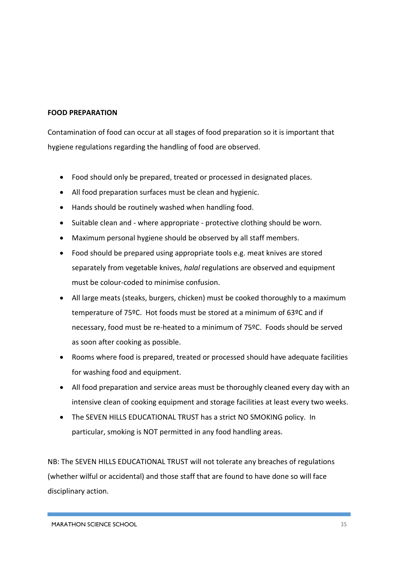#### **FOOD PREPARATION**

Contamination of food can occur at all stages of food preparation so it is important that hygiene regulations regarding the handling of food are observed.

- Food should only be prepared, treated or processed in designated places.
- All food preparation surfaces must be clean and hygienic.
- Hands should be routinely washed when handling food.
- Suitable clean and where appropriate protective clothing should be worn.
- Maximum personal hygiene should be observed by all staff members.
- Food should be prepared using appropriate tools e.g. meat knives are stored separately from vegetable knives, *halal* regulations are observed and equipment must be colour-coded to minimise confusion.
- All large meats (steaks, burgers, chicken) must be cooked thoroughly to a maximum temperature of 75ºC. Hot foods must be stored at a minimum of 63ºC and if necessary, food must be re-heated to a minimum of 75ºC. Foods should be served as soon after cooking as possible.
- Rooms where food is prepared, treated or processed should have adequate facilities for washing food and equipment.
- All food preparation and service areas must be thoroughly cleaned every day with an intensive clean of cooking equipment and storage facilities at least every two weeks.
- The SEVEN HILLS EDUCATIONAL TRUST has a strict NO SMOKING policy. In particular, smoking is NOT permitted in any food handling areas.

NB: The SEVEN HILLS EDUCATIONAL TRUST will not tolerate any breaches of regulations (whether wilful or accidental) and those staff that are found to have done so will face disciplinary action.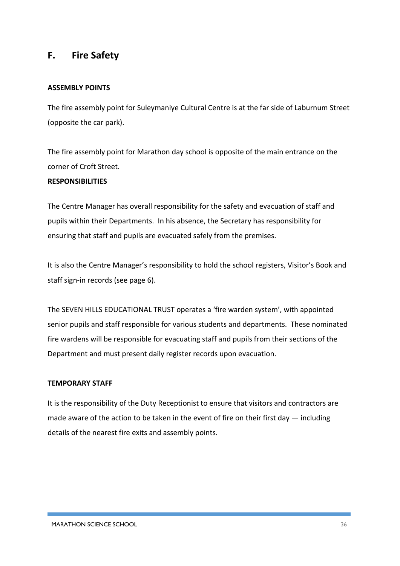## **F. Fire Safety**

#### **ASSEMBLY POINTS**

The fire assembly point for Suleymaniye Cultural Centre is at the far side of Laburnum Street (opposite the car park).

The fire assembly point for Marathon day school is opposite of the main entrance on the corner of Croft Street.

#### **RESPONSIBILITIES**

The Centre Manager has overall responsibility for the safety and evacuation of staff and pupils within their Departments. In his absence, the Secretary has responsibility for ensuring that staff and pupils are evacuated safely from the premises.

It is also the Centre Manager's responsibility to hold the school registers, Visitor's Book and staff sign-in records (see page 6).

The SEVEN HILLS EDUCATIONAL TRUST operates a 'fire warden system', with appointed senior pupils and staff responsible for various students and departments. These nominated fire wardens will be responsible for evacuating staff and pupils from their sections of the Department and must present daily register records upon evacuation.

#### **TEMPORARY STAFF**

It is the responsibility of the Duty Receptionist to ensure that visitors and contractors are made aware of the action to be taken in the event of fire on their first day  $-$  including details of the nearest fire exits and assembly points.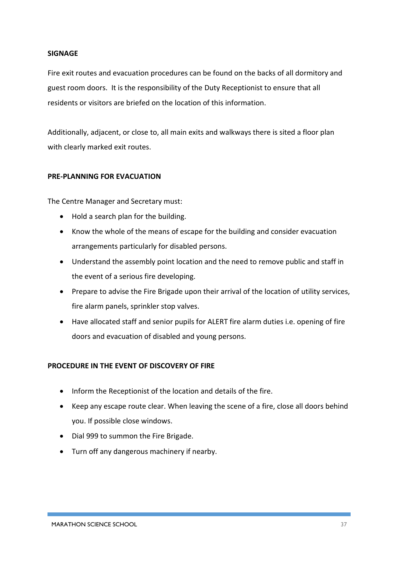#### **SIGNAGE**

Fire exit routes and evacuation procedures can be found on the backs of all dormitory and guest room doors. It is the responsibility of the Duty Receptionist to ensure that all residents or visitors are briefed on the location of this information.

Additionally, adjacent, or close to, all main exits and walkways there is sited a floor plan with clearly marked exit routes.

#### **PRE-PLANNING FOR EVACUATION**

The Centre Manager and Secretary must:

- Hold a search plan for the building.
- Know the whole of the means of escape for the building and consider evacuation arrangements particularly for disabled persons.
- Understand the assembly point location and the need to remove public and staff in the event of a serious fire developing.
- Prepare to advise the Fire Brigade upon their arrival of the location of utility services, fire alarm panels, sprinkler stop valves.
- Have allocated staff and senior pupils for ALERT fire alarm duties i.e. opening of fire doors and evacuation of disabled and young persons.

#### **PROCEDURE IN THE EVENT OF DISCOVERY OF FIRE**

- Inform the Receptionist of the location and details of the fire.
- Keep any escape route clear. When leaving the scene of a fire, close all doors behind you. If possible close windows.
- Dial 999 to summon the Fire Brigade.
- Turn off any dangerous machinery if nearby.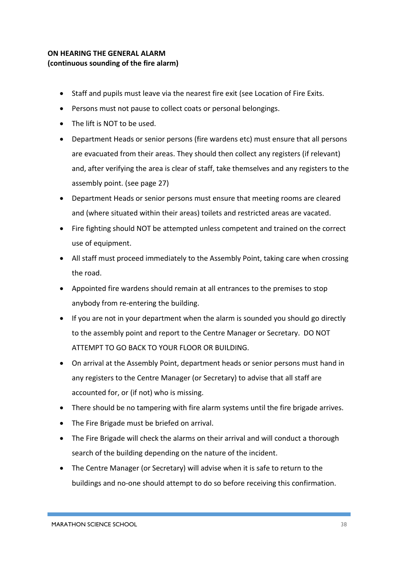#### **ON HEARING THE GENERAL ALARM (continuous sounding of the fire alarm)**

- Staff and pupils must leave via the nearest fire exit (see Location of Fire Exits.
- Persons must not pause to collect coats or personal belongings.
- The lift is NOT to be used.
- Department Heads or senior persons (fire wardens etc) must ensure that all persons are evacuated from their areas. They should then collect any registers (if relevant) and, after verifying the area is clear of staff, take themselves and any registers to the assembly point. (see page 27)
- Department Heads or senior persons must ensure that meeting rooms are cleared and (where situated within their areas) toilets and restricted areas are vacated.
- Fire fighting should NOT be attempted unless competent and trained on the correct use of equipment.
- All staff must proceed immediately to the Assembly Point, taking care when crossing the road.
- Appointed fire wardens should remain at all entrances to the premises to stop anybody from re-entering the building.
- If you are not in your department when the alarm is sounded you should go directly to the assembly point and report to the Centre Manager or Secretary. DO NOT ATTEMPT TO GO BACK TO YOUR FLOOR OR BUILDING.
- On arrival at the Assembly Point, department heads or senior persons must hand in any registers to the Centre Manager (or Secretary) to advise that all staff are accounted for, or (if not) who is missing.
- There should be no tampering with fire alarm systems until the fire brigade arrives.
- The Fire Brigade must be briefed on arrival.
- The Fire Brigade will check the alarms on their arrival and will conduct a thorough search of the building depending on the nature of the incident.
- The Centre Manager (or Secretary) will advise when it is safe to return to the buildings and no-one should attempt to do so before receiving this confirmation.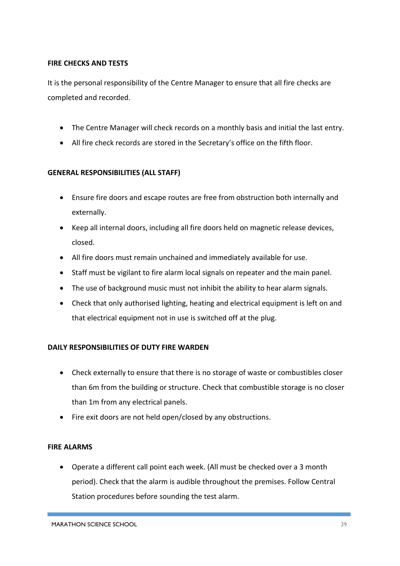#### **FIRE CHECKS AND TESTS**

It is the personal responsibility of the Centre Manager to ensure that all fire checks are completed and recorded.

- The Centre Manager will check records on a monthly basis and initial the last entry.
- All fire check records are stored in the Secretary's office on the fifth floor.

#### **GENERAL RESPONSIBILITIES (ALL STAFF)**

- Ensure fire doors and escape routes are free from obstruction both internally and externally.
- Keep all internal doors, including all fire doors held on magnetic release devices, closed.
- All fire doors must remain unchained and immediately available for use.
- Staff must be vigilant to fire alarm local signals on repeater and the main panel.
- The use of background music must not inhibit the ability to hear alarm signals.
- Check that only authorised lighting, heating and electrical equipment is left on and that electrical equipment not in use is switched off at the plug.

#### **DAILY RESPONSIBILITIES OF DUTY FIRE WARDEN**

- Check externally to ensure that there is no storage of waste or combustibles closer than 6m from the building or structure. Check that combustible storage is no closer than 1m from any electrical panels.
- Fire exit doors are not held open/closed by any obstructions.

#### **FIRE ALARMS**

• Operate a different call point each week. (All must be checked over a 3 month period). Check that the alarm is audible throughout the premises. Follow Central Station procedures before sounding the test alarm.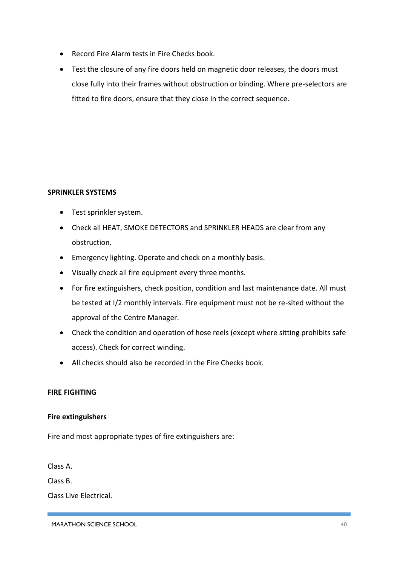- Record Fire Alarm tests in Fire Checks book.
- Test the closure of any fire doors held on magnetic door releases, the doors must close fully into their frames without obstruction or binding. Where pre-selectors are fitted to fire doors, ensure that they close in the correct sequence.

#### **SPRINKLER SYSTEMS**

- Test sprinkler system.
- Check all HEAT, SMOKE DETECTORS and SPRINKLER HEADS are clear from any obstruction.
- Emergency lighting. Operate and check on a monthly basis.
- Visually check all fire equipment every three months.
- For fire extinguishers, check position, condition and last maintenance date. All must be tested at I/2 monthly intervals. Fire equipment must not be re-sited without the approval of the Centre Manager.
- Check the condition and operation of hose reels (except where sitting prohibits safe access). Check for correct winding.
- All checks should also be recorded in the Fire Checks book.

#### **FIRE FIGHTING**

#### **Fire extinguishers**

Fire and most appropriate types of fire extinguishers are:

Class A.

Class B.

Class Live Electrical.

MARATHON SCIENCE SCHOOL 40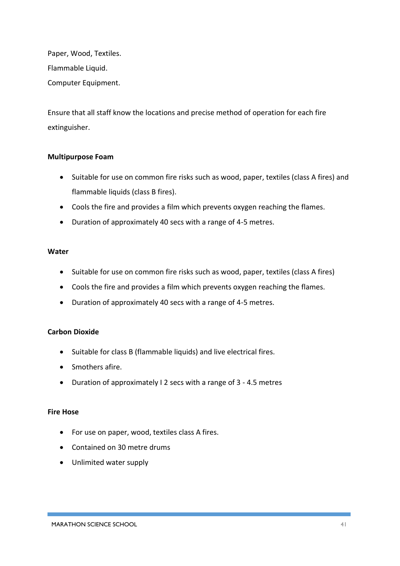Paper, Wood, Textiles. Flammable Liquid. Computer Equipment.

Ensure that all staff know the locations and precise method of operation for each fire extinguisher.

#### **Multipurpose Foam**

- Suitable for use on common fire risks such as wood, paper, textiles (class A fires) and flammable liquids (class B fires).
- Cools the fire and provides a film which prevents oxygen reaching the flames.
- Duration of approximately 40 secs with a range of 4-5 metres.

#### **Water**

- Suitable for use on common fire risks such as wood, paper, textiles (class A fires)
- Cools the fire and provides a film which prevents oxygen reaching the flames.
- Duration of approximately 40 secs with a range of 4-5 metres.

#### **Carbon Dioxide**

- Suitable for class B (flammable liquids) and live electrical fires.
- Smothers afire.
- Duration of approximately I 2 secs with a range of 3 4.5 metres

#### **Fire Hose**

- For use on paper, wood, textiles class A fires.
- Contained on 30 metre drums
- Unlimited water supply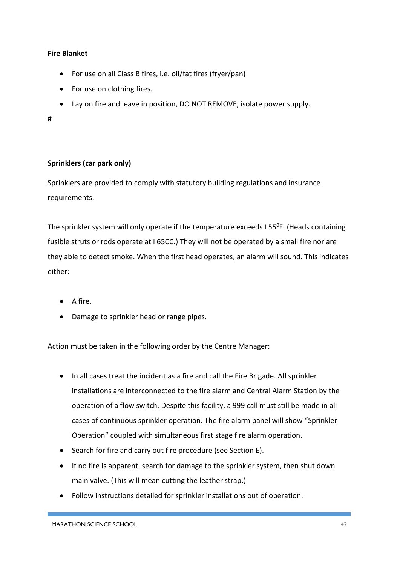#### **Fire Blanket**

- For use on all Class B fires, i.e. oil/fat fires (fryer/pan)
- For use on clothing fires.
- Lay on fire and leave in position, DO NOT REMOVE, isolate power supply.

#### **#**

#### **Sprinklers (car park only)**

Sprinklers are provided to comply with statutory building regulations and insurance requirements.

The sprinkler system will only operate if the temperature exceeds I 55<sup>0</sup>F. (Heads containing fusible struts or rods operate at I 65CC.) They will not be operated by a small fire nor are they able to detect smoke. When the first head operates, an alarm will sound. This indicates either:

- A fire.
- Damage to sprinkler head or range pipes.

Action must be taken in the following order by the Centre Manager:

- In all cases treat the incident as a fire and call the Fire Brigade. All sprinkler installations are interconnected to the fire alarm and Central Alarm Station by the operation of a flow switch. Despite this facility, a 999 call must still be made in all cases of continuous sprinkler operation. The fire alarm panel will show "Sprinkler Operation" coupled with simultaneous first stage fire alarm operation.
- Search for fire and carry out fire procedure (see Section E).
- If no fire is apparent, search for damage to the sprinkler system, then shut down main valve. (This will mean cutting the leather strap.)
- Follow instructions detailed for sprinkler installations out of operation.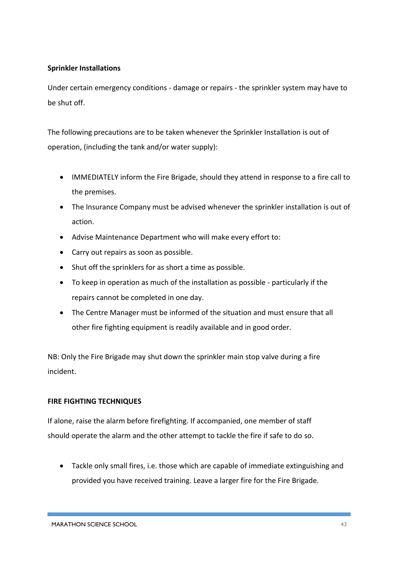#### **Sprinkler Installations**

Under certain emergency conditions - damage or repairs - the sprinkler system may have to be shut off.

The following precautions are to be taken whenever the Sprinkler Installation is out of operation, (including the tank and/or water supply):

- IMMEDIATELY inform the Fire Brigade, should they attend in response to a fire call to the premises.
- The Insurance Company must be advised whenever the sprinkler installation is out of action.
- Advise Maintenance Department who will make every effort to:
- Carry out repairs as soon as possible.
- Shut off the sprinklers for as short a time as possible.
- To keep in operation as much of the installation as possible particularly if the repairs cannot be completed in one day.
- The Centre Manager must be informed of the situation and must ensure that all other fire fighting equipment is readily available and in good order.

NB: Only the Fire Brigade may shut down the sprinkler main stop valve during a fire incident.

#### **FIRE FIGHTING TECHNIQUES**

If alone, raise the alarm before firefighting. If accompanied, one member of staff should operate the alarm and the other attempt to tackle the fire if safe to do so.

• Tackle only small fires, i.e. those which are capable of immediate extinguishing and provided you have received training. Leave a larger fire for the Fire Brigade.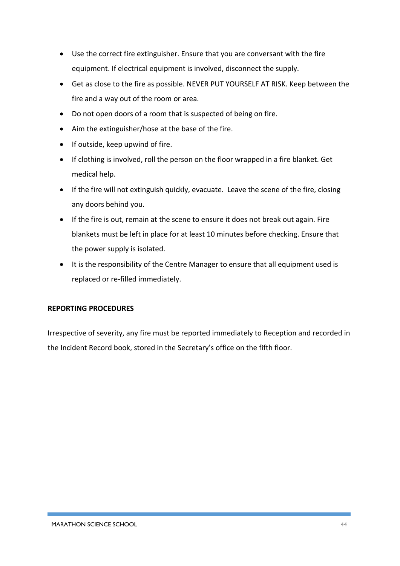- Use the correct fire extinguisher. Ensure that you are conversant with the fire equipment. If electrical equipment is involved, disconnect the supply.
- Get as close to the fire as possible. NEVER PUT YOURSELF AT RISK. Keep between the fire and a way out of the room or area.
- Do not open doors of a room that is suspected of being on fire.
- Aim the extinguisher/hose at the base of the fire.
- If outside, keep upwind of fire.
- If clothing is involved, roll the person on the floor wrapped in a fire blanket. Get medical help.
- If the fire will not extinguish quickly, evacuate. Leave the scene of the fire, closing any doors behind you.
- If the fire is out, remain at the scene to ensure it does not break out again. Fire blankets must be left in place for at least 10 minutes before checking. Ensure that the power supply is isolated.
- It is the responsibility of the Centre Manager to ensure that all equipment used is replaced or re-filled immediately.

#### **REPORTING PROCEDURES**

Irrespective of severity, any fire must be reported immediately to Reception and recorded in the Incident Record book, stored in the Secretary's office on the fifth floor.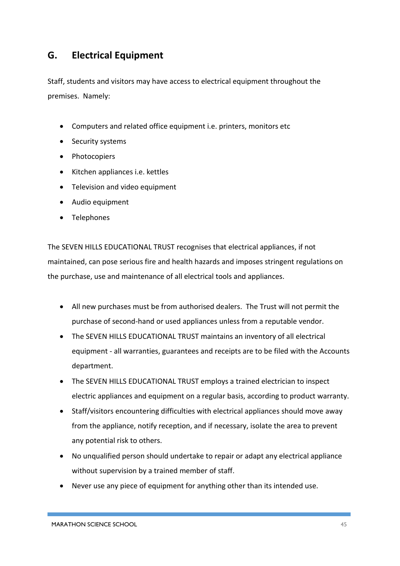# **G. Electrical Equipment**

Staff, students and visitors may have access to electrical equipment throughout the premises. Namely:

- Computers and related office equipment i.e. printers, monitors etc
- Security systems
- Photocopiers
- Kitchen appliances i.e. kettles
- Television and video equipment
- Audio equipment
- Telephones

The SEVEN HILLS EDUCATIONAL TRUST recognises that electrical appliances, if not maintained, can pose serious fire and health hazards and imposes stringent regulations on the purchase, use and maintenance of all electrical tools and appliances.

- All new purchases must be from authorised dealers. The Trust will not permit the purchase of second-hand or used appliances unless from a reputable vendor.
- The SEVEN HILLS EDUCATIONAL TRUST maintains an inventory of all electrical equipment - all warranties, guarantees and receipts are to be filed with the Accounts department.
- The SEVEN HILLS EDUCATIONAL TRUST employs a trained electrician to inspect electric appliances and equipment on a regular basis, according to product warranty.
- Staff/visitors encountering difficulties with electrical appliances should move away from the appliance, notify reception, and if necessary, isolate the area to prevent any potential risk to others.
- No unqualified person should undertake to repair or adapt any electrical appliance without supervision by a trained member of staff.
- Never use any piece of equipment for anything other than its intended use.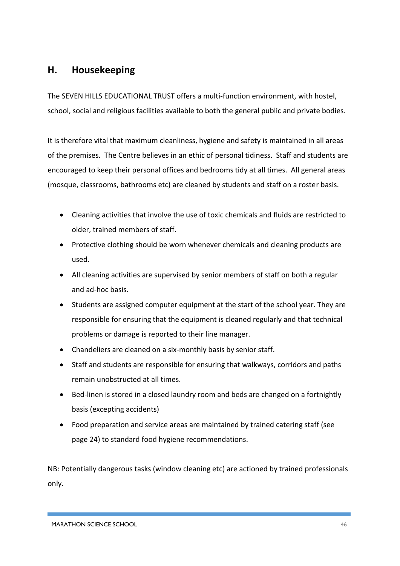# **H. Housekeeping**

The SEVEN HILLS EDUCATIONAL TRUST offers a multi-function environment, with hostel, school, social and religious facilities available to both the general public and private bodies.

It is therefore vital that maximum cleanliness, hygiene and safety is maintained in all areas of the premises. The Centre believes in an ethic of personal tidiness. Staff and students are encouraged to keep their personal offices and bedrooms tidy at all times. All general areas (mosque, classrooms, bathrooms etc) are cleaned by students and staff on a roster basis.

- Cleaning activities that involve the use of toxic chemicals and fluids are restricted to older, trained members of staff.
- Protective clothing should be worn whenever chemicals and cleaning products are used.
- All cleaning activities are supervised by senior members of staff on both a regular and ad-hoc basis.
- Students are assigned computer equipment at the start of the school year. They are responsible for ensuring that the equipment is cleaned regularly and that technical problems or damage is reported to their line manager.
- Chandeliers are cleaned on a six-monthly basis by senior staff.
- Staff and students are responsible for ensuring that walkways, corridors and paths remain unobstructed at all times.
- Bed-linen is stored in a closed laundry room and beds are changed on a fortnightly basis (excepting accidents)
- Food preparation and service areas are maintained by trained catering staff (see page 24) to standard food hygiene recommendations.

NB: Potentially dangerous tasks (window cleaning etc) are actioned by trained professionals only.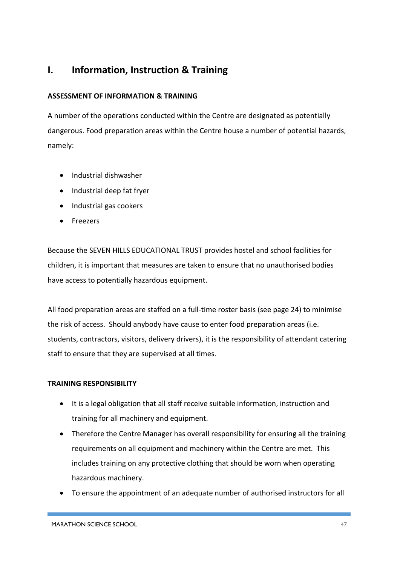# **I. Information, Instruction & Training**

#### **ASSESSMENT OF INFORMATION & TRAINING**

A number of the operations conducted within the Centre are designated as potentially dangerous. Food preparation areas within the Centre house a number of potential hazards, namely:

- Industrial dishwasher
- Industrial deep fat fryer
- Industrial gas cookers
- Freezers

Because the SEVEN HILLS EDUCATIONAL TRUST provides hostel and school facilities for children, it is important that measures are taken to ensure that no unauthorised bodies have access to potentially hazardous equipment.

All food preparation areas are staffed on a full-time roster basis (see page 24) to minimise the risk of access. Should anybody have cause to enter food preparation areas (i.e. students, contractors, visitors, delivery drivers), it is the responsibility of attendant catering staff to ensure that they are supervised at all times.

#### **TRAINING RESPONSIBILITY**

- It is a legal obligation that all staff receive suitable information, instruction and training for all machinery and equipment.
- Therefore the Centre Manager has overall responsibility for ensuring all the training requirements on all equipment and machinery within the Centre are met. This includes training on any protective clothing that should be worn when operating hazardous machinery.
- To ensure the appointment of an adequate number of authorised instructors for all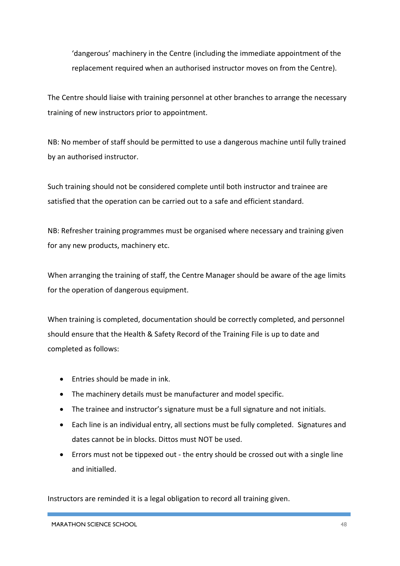'dangerous' machinery in the Centre (including the immediate appointment of the replacement required when an authorised instructor moves on from the Centre).

The Centre should liaise with training personnel at other branches to arrange the necessary training of new instructors prior to appointment.

NB: No member of staff should be permitted to use a dangerous machine until fully trained by an authorised instructor.

Such training should not be considered complete until both instructor and trainee are satisfied that the operation can be carried out to a safe and efficient standard.

NB: Refresher training programmes must be organised where necessary and training given for any new products, machinery etc.

When arranging the training of staff, the Centre Manager should be aware of the age limits for the operation of dangerous equipment.

When training is completed, documentation should be correctly completed, and personnel should ensure that the Health & Safety Record of the Training File is up to date and completed as follows:

- Entries should be made in ink.
- The machinery details must be manufacturer and model specific.
- The trainee and instructor's signature must be a full signature and not initials.
- Each line is an individual entry, all sections must be fully completed. Signatures and dates cannot be in blocks. Dittos must NOT be used.
- Errors must not be tippexed out the entry should be crossed out with a single line and initialled.

Instructors are reminded it is a legal obligation to record all training given.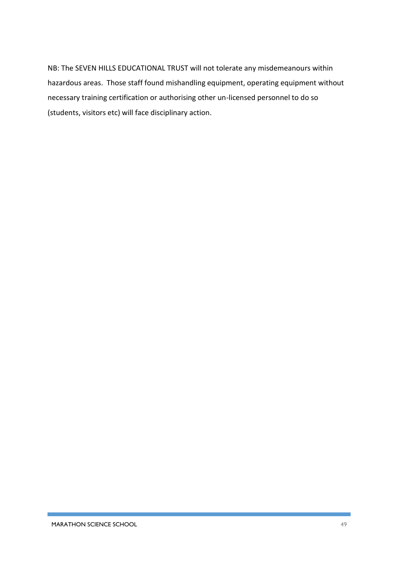NB: The SEVEN HILLS EDUCATIONAL TRUST will not tolerate any misdemeanours within hazardous areas. Those staff found mishandling equipment, operating equipment without necessary training certification or authorising other un-licensed personnel to do so (students, visitors etc) will face disciplinary action.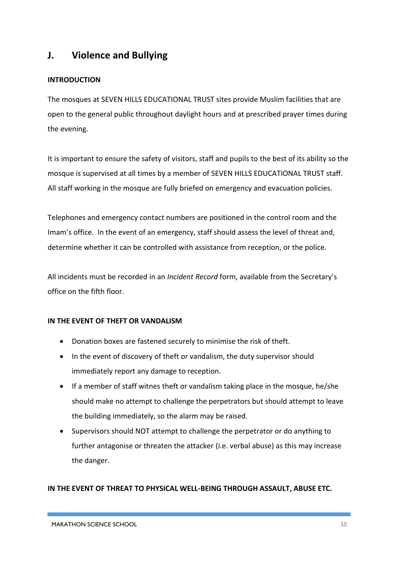# **J. Violence and Bullying**

#### **INTRODUCTION**

The mosques at SEVEN HILLS EDUCATIONAL TRUST sites provide Muslim facilities that are open to the general public throughout daylight hours and at prescribed prayer times during the evening.

It is important to ensure the safety of visitors, staff and pupils to the best of its ability so the mosque is supervised at all times by a member of SEVEN HILLS EDUCATIONAL TRUST staff. All staff working in the mosque are fully briefed on emergency and evacuation policies.

Telephones and emergency contact numbers are positioned in the control room and the Imam's office. In the event of an emergency, staff should assess the level of threat and, determine whether it can be controlled with assistance from reception, or the police.

All incidents must be recorded in an *Incident Record* form, available from the Secretary's office on the fifth floor.

#### **IN THE EVENT OF THEFT OR VANDALISM**

- Donation boxes are fastened securely to minimise the risk of theft.
- In the event of discovery of theft or vandalism, the duty supervisor should immediately report any damage to reception.
- If a member of staff witnes theft or vandalism taking place in the mosque, he/she should make no attempt to challenge the perpetrators but should attempt to leave the building immediately, so the alarm may be raised.
- Supervisors should NOT attempt to challenge the perpetrator or do anything to further antagonise or threaten the attacker (i.e. verbal abuse) as this may increase the danger.

#### **IN THE EVENT OF THREAT TO PHYSICAL WELL-BEING THROUGH ASSAULT, ABUSE ETC.**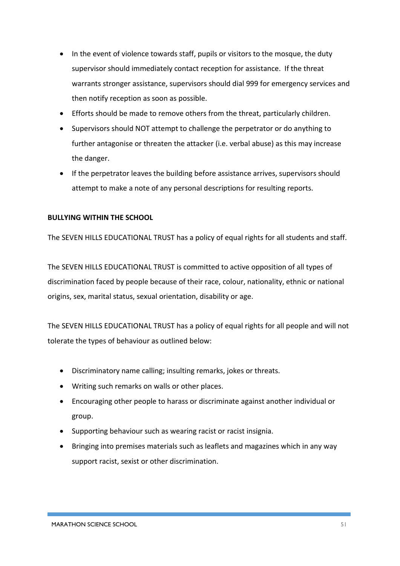- In the event of violence towards staff, pupils or visitors to the mosque, the duty supervisor should immediately contact reception for assistance. If the threat warrants stronger assistance, supervisors should dial 999 for emergency services and then notify reception as soon as possible.
- Efforts should be made to remove others from the threat, particularly children.
- Supervisors should NOT attempt to challenge the perpetrator or do anything to further antagonise or threaten the attacker (i.e. verbal abuse) as this may increase the danger.
- If the perpetrator leaves the building before assistance arrives, supervisors should attempt to make a note of any personal descriptions for resulting reports.

#### **BULLYING WITHIN THE SCHOOL**

The SEVEN HILLS EDUCATIONAL TRUST has a policy of equal rights for all students and staff.

The SEVEN HILLS EDUCATIONAL TRUST is committed to active opposition of all types of discrimination faced by people because of their race, colour, nationality, ethnic or national origins, sex, marital status, sexual orientation, disability or age.

The SEVEN HILLS EDUCATIONAL TRUST has a policy of equal rights for all people and will not tolerate the types of behaviour as outlined below:

- Discriminatory name calling; insulting remarks, jokes or threats.
- Writing such remarks on walls or other places.
- Encouraging other people to harass or discriminate against another individual or group.
- Supporting behaviour such as wearing racist or racist insignia.
- Bringing into premises materials such as leaflets and magazines which in any way support racist, sexist or other discrimination.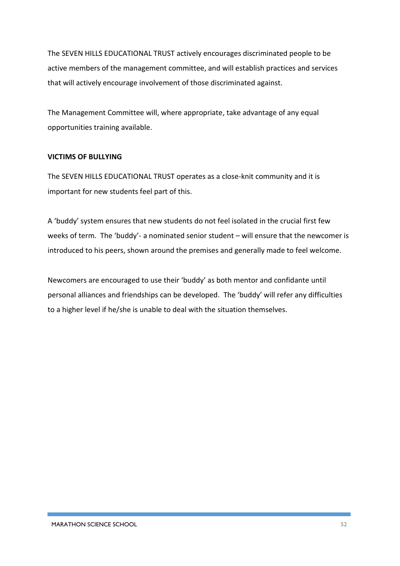The SEVEN HILLS EDUCATIONAL TRUST actively encourages discriminated people to be active members of the management committee, and will establish practices and services that will actively encourage involvement of those discriminated against.

The Management Committee will, where appropriate, take advantage of any equal opportunities training available.

#### **VICTIMS OF BULLYING**

The SEVEN HILLS EDUCATIONAL TRUST operates as a close-knit community and it is important for new students feel part of this.

A 'buddy' system ensures that new students do not feel isolated in the crucial first few weeks of term. The 'buddy'- a nominated senior student – will ensure that the newcomer is introduced to his peers, shown around the premises and generally made to feel welcome.

Newcomers are encouraged to use their 'buddy' as both mentor and confidante until personal alliances and friendships can be developed. The 'buddy' will refer any difficulties to a higher level if he/she is unable to deal with the situation themselves.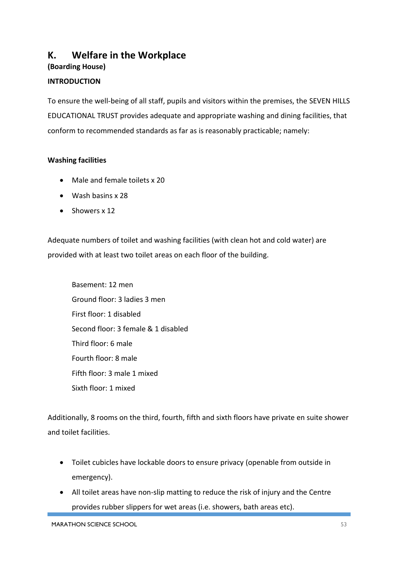# **K. Welfare in the Workplace**

**(Boarding House)**

#### **INTRODUCTION**

To ensure the well-being of all staff, pupils and visitors within the premises, the SEVEN HILLS EDUCATIONAL TRUST provides adequate and appropriate washing and dining facilities, that conform to recommended standards as far as is reasonably practicable; namely:

#### **Washing facilities**

- Male and female toilets x 20
- Wash basins x 28
- Showers x 12

Adequate numbers of toilet and washing facilities (with clean hot and cold water) are provided with at least two toilet areas on each floor of the building.

Basement: 12 men Ground floor: 3 ladies 3 men First floor: 1 disabled Second floor: 3 female & 1 disabled Third floor: 6 male Fourth floor: 8 male Fifth floor: 3 male 1 mixed Sixth floor: 1 mixed

Additionally, 8 rooms on the third, fourth, fifth and sixth floors have private en suite shower and toilet facilities.

- Toilet cubicles have lockable doors to ensure privacy (openable from outside in emergency).
- All toilet areas have non-slip matting to reduce the risk of injury and the Centre provides rubber slippers for wet areas (i.e. showers, bath areas etc).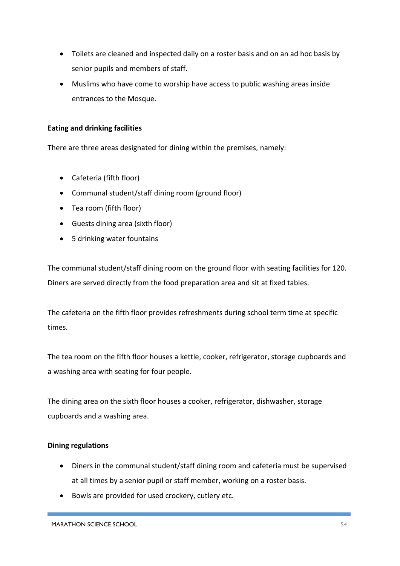- Toilets are cleaned and inspected daily on a roster basis and on an ad hoc basis by senior pupils and members of staff.
- Muslims who have come to worship have access to public washing areas inside entrances to the Mosque.

#### **Eating and drinking facilities**

There are three areas designated for dining within the premises, namely:

- Cafeteria (fifth floor)
- Communal student/staff dining room (ground floor)
- Tea room (fifth floor)
- Guests dining area (sixth floor)
- 5 drinking water fountains

The communal student/staff dining room on the ground floor with seating facilities for 120. Diners are served directly from the food preparation area and sit at fixed tables.

The cafeteria on the fifth floor provides refreshments during school term time at specific times.

The tea room on the fifth floor houses a kettle, cooker, refrigerator, storage cupboards and a washing area with seating for four people.

The dining area on the sixth floor houses a cooker, refrigerator, dishwasher, storage cupboards and a washing area.

#### **Dining regulations**

- Diners in the communal student/staff dining room and cafeteria must be supervised at all times by a senior pupil or staff member, working on a roster basis.
- Bowls are provided for used crockery, cutlery etc.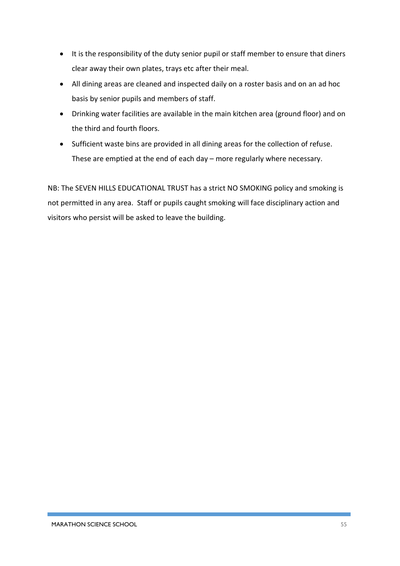- It is the responsibility of the duty senior pupil or staff member to ensure that diners clear away their own plates, trays etc after their meal.
- All dining areas are cleaned and inspected daily on a roster basis and on an ad hoc basis by senior pupils and members of staff.
- Drinking water facilities are available in the main kitchen area (ground floor) and on the third and fourth floors.
- Sufficient waste bins are provided in all dining areas for the collection of refuse. These are emptied at the end of each day – more regularly where necessary.

NB: The SEVEN HILLS EDUCATIONAL TRUST has a strict NO SMOKING policy and smoking is not permitted in any area. Staff or pupils caught smoking will face disciplinary action and visitors who persist will be asked to leave the building.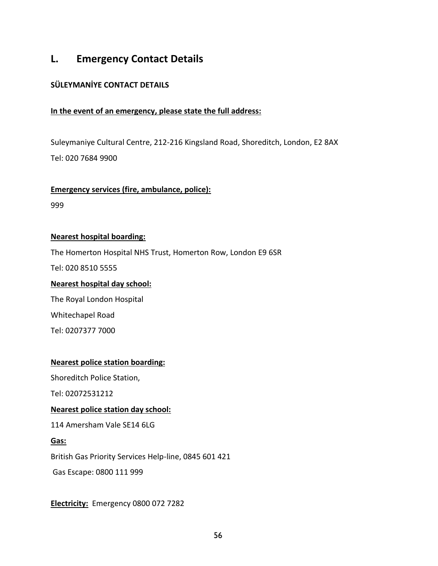# **L. Emergency Contact Details**

#### **SÜLEYMANİYE CONTACT DETAILS**

#### **In the event of an emergency, please state the full address:**

Suleymaniye Cultural Centre, 212-216 Kingsland Road, Shoreditch, London, E2 8AX Tel: 020 7684 9900

#### **Emergency services (fire, ambulance, police):**

999

#### **Nearest hospital boarding:**

The Homerton Hospital NHS Trust, Homerton Row, London E9 6SR

Tel: 020 8510 5555

#### **Nearest hospital day school:**

The Royal London Hospital Whitechapel Road Tel: 0207377 7000

#### **Nearest police station boarding:**

Shoreditch Police Station,

Tel: 02072531212

#### **Nearest police station day school:**

114 Amersham Vale SE14 6LG

#### **Gas:**

British Gas Priority Services Help-line, 0845 601 421

Gas Escape: 0800 111 999

**Electricity:** Emergency 0800 072 7282